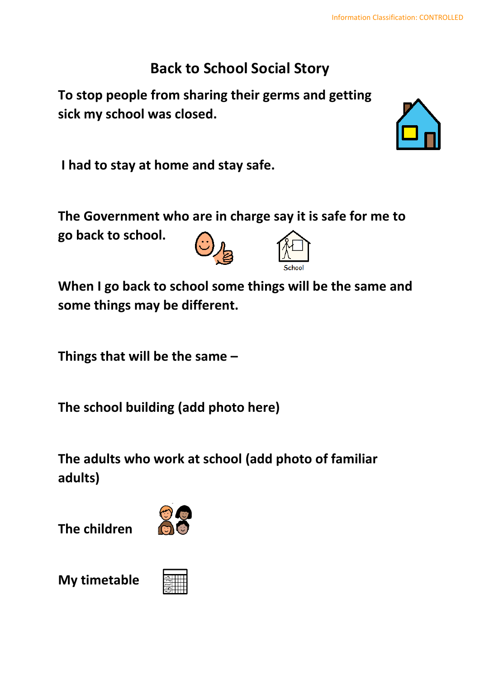## **Back to School Social Story**

**To stop people from sharing their germs and getting sick my school was closed.**



**The Government who are in charge say it is safe for me to** 

**go back to school.**



**When I go back to school some things will be the same and some things may be different.**

**Things that will be the same –**

**The school building (add photo here)**

**The adults who work at school (add photo of familiar adults)**

**The children**



**My timetable**



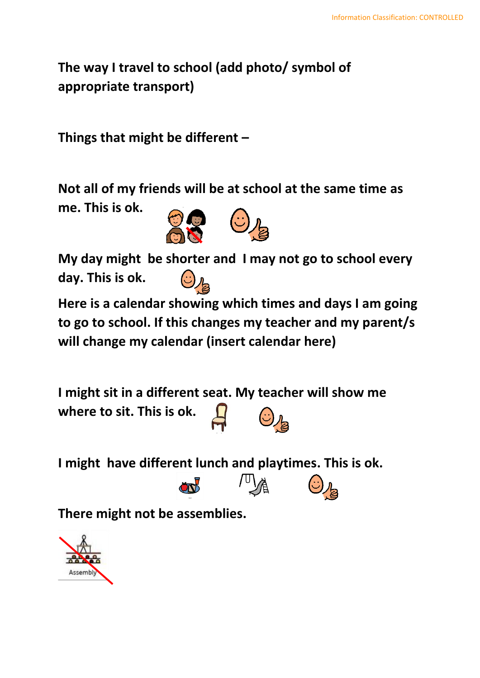**The way I travel to school (add photo/ symbol of appropriate transport)**

**Things that might be different –**

**Not all of my friends will be at school at the same time as me. This is ok.**



**My day might be shorter and I may not go to school every day. This is ok.**

**Here is a calendar showing which times and days I am going to go to school. If this changes my teacher and my parent/s will change my calendar (insert calendar here)**

**I might sit in a different seat. My teacher will show me where to sit. This is ok.**

**I might have different lunch and playtimes. This is ok.**

**There might not be assemblies.**